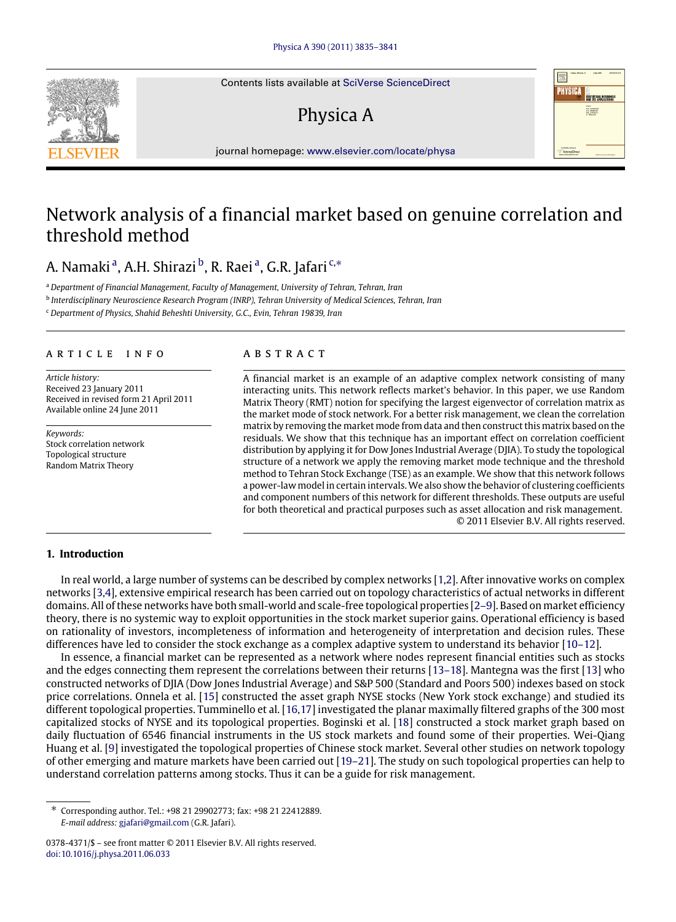Contents lists available at [SciVerse ScienceDirect](http://www.elsevier.com/locate/physa)

# Physica A



journal homepage: [www.elsevier.com/locate/physa](http://www.elsevier.com/locate/physa)

# Network analysis of a financial market based on genuine correlation and threshold method

## A. N[a](#page-0-0)maki<sup>a</sup>, A.H. Shirazi <sup>[b](#page-0-1)</sup>, R. Raei <sup>a</sup>, G.R. Jafari <sup>[c,](#page-0-2)</sup>\*

<span id="page-0-0"></span><sup>a</sup> *Department of Financial Management, Faculty of Management, University of Tehran, Tehran, Iran*

<span id="page-0-1"></span>b *Interdisciplinary Neuroscience Research Program (INRP), Tehran University of Medical Sciences, Tehran, Iran*

<span id="page-0-2"></span><sup>c</sup> *Department of Physics, Shahid Beheshti University, G.C., Evin, Tehran 19839, Iran*

### a r t i c l e i n f o

*Article history:* Received 23 January 2011 Received in revised form 21 April 2011 Available online 24 June 2011

*Keywords:* Stock correlation network Topological structure Random Matrix Theory

### a b s t r a c t

A financial market is an example of an adaptive complex network consisting of many interacting units. This network reflects market's behavior. In this paper, we use Random Matrix Theory (RMT) notion for specifying the largest eigenvector of correlation matrix as the market mode of stock network. For a better risk management, we clean the correlation matrix by removing the market mode from data and then construct this matrix based on the residuals. We show that this technique has an important effect on correlation coefficient distribution by applying it for Dow Jones Industrial Average (DJIA). To study the topological structure of a network we apply the removing market mode technique and the threshold method to Tehran Stock Exchange (TSE) as an example. We show that this network follows a power-law model in certain intervals.We also show the behavior of clustering coefficients and component numbers of this network for different thresholds. These outputs are useful for both theoretical and practical purposes such as asset allocation and risk management. © 2011 Elsevier B.V. All rights reserved.

### **1. Introduction**

In real world, a large number of systems can be described by complex networks [\[1](#page--1-0)[,2\]](#page--1-1). After innovative works on complex networks [\[3,](#page--1-2)[4\]](#page--1-3), extensive empirical research has been carried out on topology characteristics of actual networks in different domains. All of these networks have both small-world and scale-free topological properties [\[2–9\]](#page--1-1). Based on market efficiency theory, there is no systemic way to exploit opportunities in the stock market superior gains. Operational efficiency is based on rationality of investors, incompleteness of information and heterogeneity of interpretation and decision rules. These differences have led to consider the stock exchange as a complex adaptive system to understand its behavior [\[10–12\]](#page--1-4).

In essence, a financial market can be represented as a network where nodes represent financial entities such as stocks and the edges connecting them represent the correlations between their returns [\[13–18\]](#page--1-5). Mantegna was the first [\[13\]](#page--1-5) who constructed networks of DJIA (Dow Jones Industrial Average) and S&P 500 (Standard and Poors 500) indexes based on stock price correlations. Onnela et al. [\[15\]](#page--1-6) constructed the asset graph NYSE stocks (New York stock exchange) and studied its different topological properties. Tumminello et al. [\[16,](#page--1-7)[17\]](#page--1-8) investigated the planar maximally filtered graphs of the 300 most capitalized stocks of NYSE and its topological properties. Boginski et al. [\[18\]](#page--1-9) constructed a stock market graph based on daily fluctuation of 6546 financial instruments in the US stock markets and found some of their properties. Wei-Qiang Huang et al. [\[9\]](#page--1-10) investigated the topological properties of Chinese stock market. Several other studies on network topology of other emerging and mature markets have been carried out [\[19–21\]](#page--1-11). The study on such topological properties can help to understand correlation patterns among stocks. Thus it can be a guide for risk management.

<span id="page-0-3"></span><sup>∗</sup> Corresponding author. Tel.: +98 21 29902773; fax: +98 21 22412889. *E-mail address:* [gjafari@gmail.com](mailto:gjafari@gmail.com) (G.R. Jafari).

<sup>0378-4371/\$ –</sup> see front matter © 2011 Elsevier B.V. All rights reserved. [doi:10.1016/j.physa.2011.06.033](http://dx.doi.org/10.1016/j.physa.2011.06.033)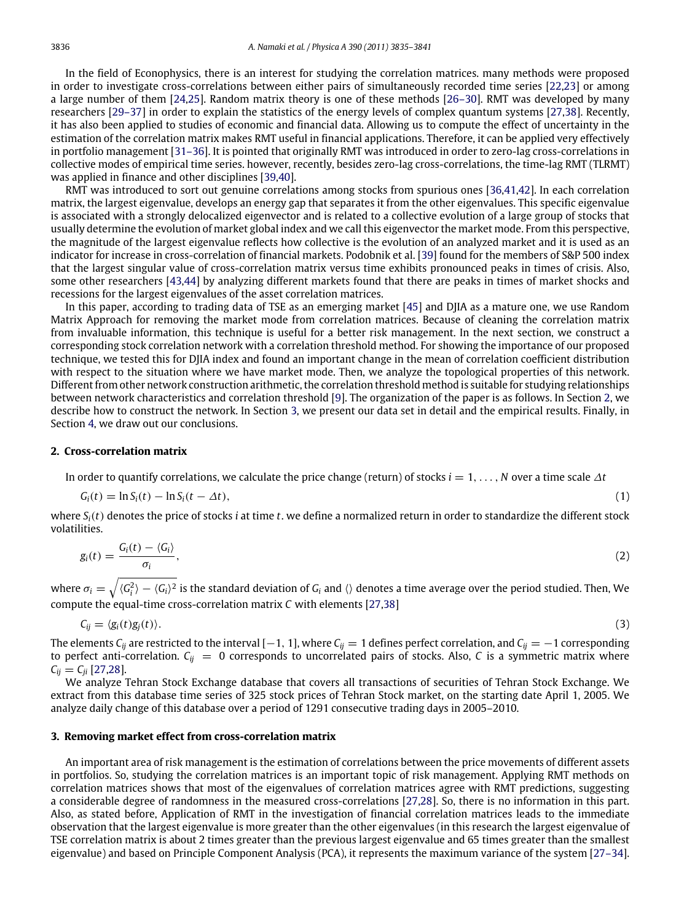In the field of Econophysics, there is an interest for studying the correlation matrices. many methods were proposed in order to investigate cross-correlations between either pairs of simultaneously recorded time series [\[22](#page--1-12)[,23\]](#page--1-13) or among a large number of them [\[24,](#page--1-14)[25\]](#page--1-15). Random matrix theory is one of these methods [\[26–30\]](#page--1-16). RMT was developed by many researchers [\[29–37\]](#page--1-17) in order to explain the statistics of the energy levels of complex quantum systems [\[27](#page--1-18)[,38\]](#page--1-19). Recently, it has also been applied to studies of economic and financial data. Allowing us to compute the effect of uncertainty in the estimation of the correlation matrix makes RMT useful in financial applications. Therefore, it can be applied very effectively in portfolio management [\[31–36\]](#page--1-20). It is pointed that originally RMT was introduced in order to zero-lag cross-correlations in collective modes of empirical time series. however, recently, besides zero-lag cross-correlations, the time-lag RMT (TLRMT) was applied in finance and other disciplines [\[39](#page--1-21)[,40\]](#page--1-22).

RMT was introduced to sort out genuine correlations among stocks from spurious ones [\[36](#page--1-23)[,41,](#page--1-24)[42\]](#page--1-25). In each correlation matrix, the largest eigenvalue, develops an energy gap that separates it from the other eigenvalues. This specific eigenvalue is associated with a strongly delocalized eigenvector and is related to a collective evolution of a large group of stocks that usually determine the evolution of market global index and we call this eigenvector the market mode. From this perspective, the magnitude of the largest eigenvalue reflects how collective is the evolution of an analyzed market and it is used as an indicator for increase in cross-correlation of financial markets. Podobnik et al. [\[39\]](#page--1-21) found for the members of S&P 500 index that the largest singular value of cross-correlation matrix versus time exhibits pronounced peaks in times of crisis. Also, some other researchers [\[43](#page--1-26)[,44\]](#page--1-27) by analyzing different markets found that there are peaks in times of market shocks and recessions for the largest eigenvalues of the asset correlation matrices.

In this paper, according to trading data of TSE as an emerging market [\[45\]](#page--1-28) and DJIA as a mature one, we use Random Matrix Approach for removing the market mode from correlation matrices. Because of cleaning the correlation matrix from invaluable information, this technique is useful for a better risk management. In the next section, we construct a corresponding stock correlation network with a correlation threshold method. For showing the importance of our proposed technique, we tested this for DJIA index and found an important change in the mean of correlation coefficient distribution with respect to the situation where we have market mode. Then, we analyze the topological properties of this network. Different from other network construction arithmetic, the correlation threshold method is suitable for studying relationships between network characteristics and correlation threshold [\[9\]](#page--1-10). The organization of the paper is as follows. In Section [2,](#page-1-0) we describe how to construct the network. In Section [3,](#page-1-1) we present our data set in detail and the empirical results. Finally, in Section [4,](#page--1-29) we draw out our conclusions.

#### <span id="page-1-0"></span>**2. Cross-correlation matrix**

In order to quantify correlations, we calculate the price change (return) of stocks *i* = 1, . . . , *N* over a time scale ∆*t*

$$
G_i(t) = \ln S_i(t) - \ln S_i(t - \Delta t),
$$
\n(1)

where  $S_i(t)$  denotes the price of stocks *i* at time *t*. we define a normalized return in order to standardize the different stock volatilities.

$$
g_i(t) = \frac{G_i(t) - \langle G_i \rangle}{\sigma_i},
$$
\n(2)

where  $\sigma_i=\sqrt{\langle G_i^2\rangle-\langle G_i\rangle^2}$  is the standard deviation of  $G_i$  and  $\langle\rangle$  denotes a time average over the period studied. Then, We compute the equal-time cross-correlation matrix *C* with elements [\[27,](#page--1-18)[38\]](#page--1-19)

$$
C_{ij} = \langle g_i(t)g_j(t) \rangle. \tag{3}
$$

The elements  $C_{ij}$  are restricted to the interval [−1, 1], where  $C_{ij} = 1$  defines perfect correlation, and  $C_{ij} = -1$  corresponding to perfect anti-correlation.  $C_{ij} = 0$  corresponds to uncorrelated pairs of stocks. Also, C is a symmetric matrix where  $C_{ii} = C_{ii}$  [\[27](#page--1-18)[,28\]](#page--1-30).

We analyze Tehran Stock Exchange database that covers all transactions of securities of Tehran Stock Exchange. We extract from this database time series of 325 stock prices of Tehran Stock market, on the starting date April 1, 2005. We analyze daily change of this database over a period of 1291 consecutive trading days in 2005–2010.

#### <span id="page-1-1"></span>**3. Removing market effect from cross-correlation matrix**

An important area of risk management is the estimation of correlations between the price movements of different assets in portfolios. So, studying the correlation matrices is an important topic of risk management. Applying RMT methods on correlation matrices shows that most of the eigenvalues of correlation matrices agree with RMT predictions, suggesting a considerable degree of randomness in the measured cross-correlations [\[27,](#page--1-18)[28\]](#page--1-30). So, there is no information in this part. Also, as stated before, Application of RMT in the investigation of financial correlation matrices leads to the immediate observation that the largest eigenvalue is more greater than the other eigenvalues (in this research the largest eigenvalue of TSE correlation matrix is about 2 times greater than the previous largest eigenvalue and 65 times greater than the smallest eigenvalue) and based on Principle Component Analysis (PCA), it represents the maximum variance of the system [\[27–34\]](#page--1-18).